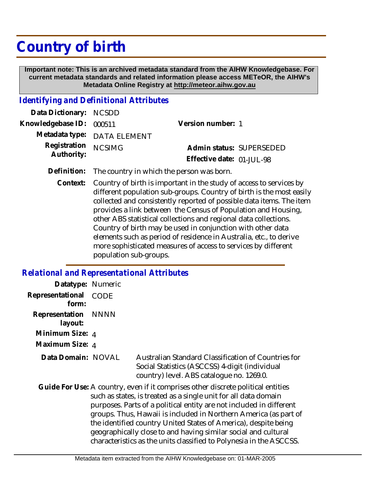## **Country of birth**

 **Important note: This is an archived metadata standard from the AIHW Knowledgebase. For current metadata standards and related information please access METeOR, the AIHW's Metadata Online Registry at http://meteor.aihw.gov.au**

## *Identifying and Definitional Attributes*

| Admin status: SUPERSEDED  |
|---------------------------|
| Effective date: 01-JUL-98 |
|                           |

- **Definition:** The country in which the person was born.
	- Country of birth is important in the study of access to services by different population sub-groups. Country of birth is the most easily collected and consistently reported of possible data items. The item provides a link between the Census of Population and Housing, other ABS statistical collections and regional data collections. Country of birth may be used in conjunction with other data elements such as period of residence in Australia, etc., to derive more sophisticated measures of access to services by different population sub-groups. **Context:**

## *Relational and Representational Attributes*

| Datatype: Numeric         |      |                                                                                                                                                                                                                                                                                                                                                                                                                                                                                                            |
|---------------------------|------|------------------------------------------------------------------------------------------------------------------------------------------------------------------------------------------------------------------------------------------------------------------------------------------------------------------------------------------------------------------------------------------------------------------------------------------------------------------------------------------------------------|
| Representational<br>form: | CODE |                                                                                                                                                                                                                                                                                                                                                                                                                                                                                                            |
| Representation<br>layout: | NNNN |                                                                                                                                                                                                                                                                                                                                                                                                                                                                                                            |
| Minimum Size: 4           |      |                                                                                                                                                                                                                                                                                                                                                                                                                                                                                                            |
| Maximum Size: 4           |      |                                                                                                                                                                                                                                                                                                                                                                                                                                                                                                            |
| Data Domain: NOVAL        |      | Australian Standard Classification of Countries for<br>Social Statistics (ASCCSS) 4-digit (individual<br>country) level. ABS catalogue no. 1269.0.                                                                                                                                                                                                                                                                                                                                                         |
|                           |      | Guide For Use: A country, even if it comprises other discrete political entities<br>such as states, is treated as a single unit for all data domain<br>purposes. Parts of a political entity are not included in different<br>groups. Thus, Hawaii is included in Northern America (as part of<br>the identified country United States of America), despite being<br>geographically close to and having similar social and cultural<br>characteristics as the units classified to Polynesia in the ASCCSS. |